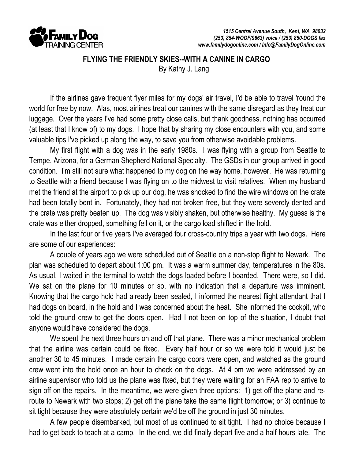

 FLYING THE FRIENDLY SKIES--WITH A CANINE IN CARGO By Kathy J. Lang

 If the airlines gave frequent flyer miles for my dogs' air travel, I'd be able to travel 'round the world for free by now. Alas, most airlines treat our canines with the same disregard as they treat our luggage. Over the years I've had some pretty close calls, but thank goodness, nothing has occurred (at least that I know of) to my dogs. I hope that by sharing my close encounters with you, and some valuable tips I've picked up along the way, to save you from otherwise avoidable problems.

 My first flight with a dog was in the early 1980s. I was flying with a group from Seattle to Tempe, Arizona, for a German Shepherd National Specialty. The GSDs in our group arrived in good condition. I'm still not sure what happened to my dog on the way home, however. He was returning to Seattle with a friend because I was flying on to the midwest to visit relatives. When my husband met the friend at the airport to pick up our dog, he was shocked to find the wire windows on the crate had been totally bent in. Fortunately, they had not broken free, but they were severely dented and the crate was pretty beaten up. The dog was visibly shaken, but otherwise healthy. My guess is the crate was either dropped, something fell on it, or the cargo load shifted in the hold.

In the last four or five years I've averaged four cross-country trips a year with two dogs. Here are some of our experiences:

 A couple of years ago we were scheduled out of Seattle on a non-stop flight to Newark. The plan was scheduled to depart about 1:00 pm. It was a warm summer day, temperatures in the 80s. As usual, I waited in the terminal to watch the dogs loaded before I boarded. There were, so I did. We sat on the plane for 10 minutes or so, with no indication that a departure was imminent. Knowing that the cargo hold had already been sealed, I informed the nearest flight attendant that I had dogs on board, in the hold and I was concerned about the heat. She informed the cockpit, who told the ground crew to get the doors open. Had I not been on top of the situation, I doubt that anyone would have considered the dogs.

 We spent the next three hours on and off that plane. There was a minor mechanical problem that the airline was certain could be fixed. Every half hour or so we were told it would just be another 30 to 45 minutes. I made certain the cargo doors were open, and watched as the ground crew went into the hold once an hour to check on the dogs. At 4 pm we were addressed by an airline supervisor who told us the plane was fixed, but they were waiting for an FAA rep to arrive to sign off on the repairs. In the meantime, we were given three options: 1) get off the plane and reroute to Newark with two stops; 2) get off the plane take the same flight tomorrow; or 3) continue to sit tight because they were absolutely certain we'd be off the ground in just 30 minutes.

 A few people disembarked, but most of us continued to sit tight. I had no choice because I had to get back to teach at a camp. In the end, we did finally depart five and a half hours late. The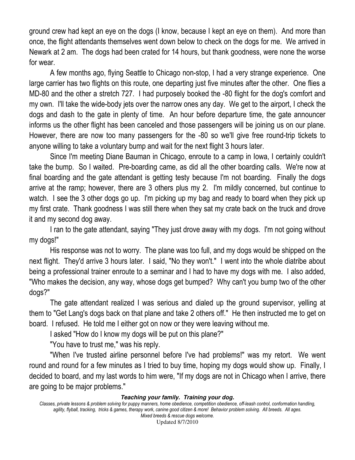ground crew had kept an eye on the dogs (I know, because I kept an eye on them). And more than once, the flight attendants themselves went down below to check on the dogs for me. We arrived in Newark at 2 am. The dogs had been crated for 14 hours, but thank goodness, were none the worse for wear.

 A few months ago, flying Seattle to Chicago non-stop, I had a very strange experience. One large carrier has two flights on this route, one departing just five minutes after the other. One flies a MD-80 and the other a stretch 727. I had purposely booked the -80 flight for the dog's comfort and my own. I'll take the wide-body jets over the narrow ones any day. We get to the airport, I check the dogs and dash to the gate in plenty of time. An hour before departure time, the gate announcer informs us the other flight has been canceled and those passengers will be joining us on our plane. However, there are now too many passengers for the -80 so we'll give free round-trip tickets to anyone willing to take a voluntary bump and wait for the next flight 3 hours later.

 Since I'm meeting Diane Bauman in Chicago, enroute to a camp in Iowa, I certainly couldn't take the bump. So I waited. Pre-boarding came, as did all the other boarding calls. We're now at final boarding and the gate attendant is getting testy because I'm not boarding. Finally the dogs arrive at the ramp; however, there are 3 others plus my 2. I'm mildly concerned, but continue to watch. I see the 3 other dogs go up. I'm picking up my bag and ready to board when they pick up my first crate. Thank goodness I was still there when they sat my crate back on the truck and drove it and my second dog away.

 I ran to the gate attendant, saying "They just drove away with my dogs. I'm not going without my dogs!"

 His response was not to worry. The plane was too full, and my dogs would be shipped on the next flight. They'd arrive 3 hours later. I said, "No they won't." I went into the whole diatribe about being a professional trainer enroute to a seminar and I had to have my dogs with me. I also added, "Who makes the decision, any way, whose dogs get bumped? Why can't you bump two of the other dogs?"

 The gate attendant realized I was serious and dialed up the ground supervisor, yelling at them to "Get Lang's dogs back on that plane and take 2 others off." He then instructed me to get on board. I refused. He told me I either got on now or they were leaving without me.

I asked "How do I know my dogs will be put on this plane?"

"You have to trust me," was his reply.

 "When I've trusted airline personnel before I've had problems!" was my retort. We went round and round for a few minutes as I tried to buy time, hoping my dogs would show up. Finally, I decided to board, and my last words to him were, "If my dogs are not in Chicago when I arrive, there are going to be major problems."

## **Teaching your family. Training your dog.**

Classes, private lessons & problem solving for puppy manners, home obedience, competition obedience, off-leash control, conformation handling, agility, flyball, tracking, tricks & games, therapy work, canine good citizen & more! Behavior problem solving. All breeds. All ages. Mixed breeds & rescue dogs welcome.